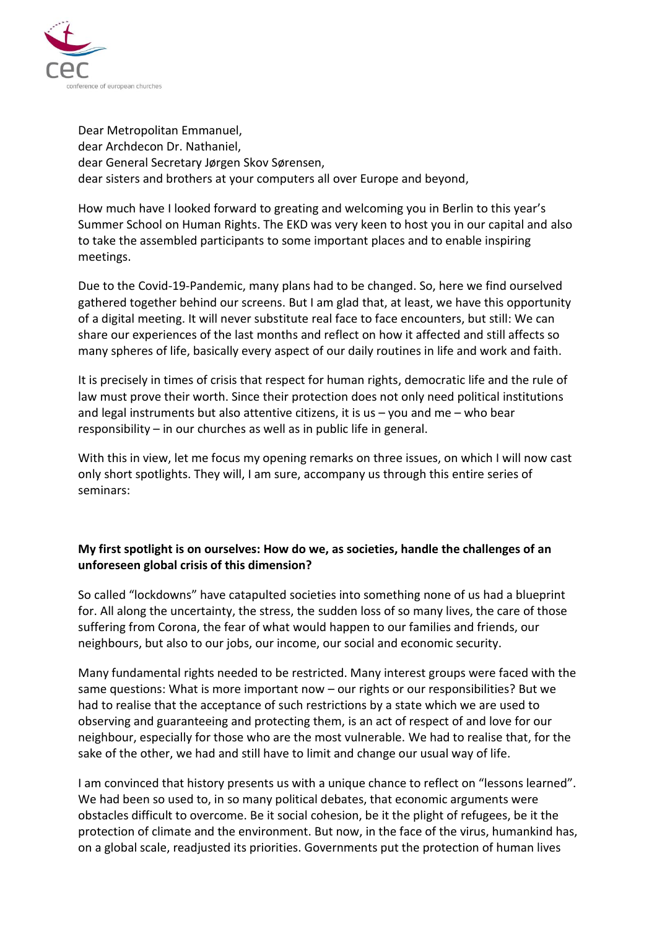

Dear Metropolitan Emmanuel, dear Archdecon Dr. Nathaniel, dear General Secretary Jørgen Skov Sørensen, dear sisters and brothers at your computers all over Europe and beyond,

How much have I looked forward to greating and welcoming you in Berlin to this year's Summer School on Human Rights. The EKD was very keen to host you in our capital and also to take the assembled participants to some important places and to enable inspiring meetings.

Due to the Covid-19-Pandemic, many plans had to be changed. So, here we find ourselved gathered together behind our screens. But I am glad that, at least, we have this opportunity of a digital meeting. It will never substitute real face to face encounters, but still: We can share our experiences of the last months and reflect on how it affected and still affects so many spheres of life, basically every aspect of our daily routines in life and work and faith.

It is precisely in times of crisis that respect for human rights, democratic life and the rule of law must prove their worth. Since their protection does not only need political institutions and legal instruments but also attentive citizens, it is us  $-$  you and me  $-$  who bear responsibility – in our churches as well as in public life in general.

With this in view, let me focus my opening remarks on three issues, on which I will now cast only short spotlights. They will, I am sure, accompany us through this entire series of seminars:

## **My first spotlight is on ourselves: How do we, as societies, handle the challenges of an unforeseen global crisis of this dimension?**

So called "lockdowns" have catapulted societies into something none of us had a blueprint for. All along the uncertainty, the stress, the sudden loss of so many lives, the care of those suffering from Corona, the fear of what would happen to our families and friends, our neighbours, but also to our jobs, our income, our social and economic security.

Many fundamental rights needed to be restricted. Many interest groups were faced with the same questions: What is more important now – our rights or our responsibilities? But we had to realise that the acceptance of such restrictions by a state which we are used to observing and guaranteeing and protecting them, is an act of respect of and love for our neighbour, especially for those who are the most vulnerable. We had to realise that, for the sake of the other, we had and still have to limit and change our usual way of life.

I am convinced that history presents us with a unique chance to reflect on "lessons learned". We had been so used to, in so many political debates, that economic arguments were obstacles difficult to overcome. Be it social cohesion, be it the plight of refugees, be it the protection of climate and the environment. But now, in the face of the virus, humankind has, on a global scale, readjusted its priorities. Governments put the protection of human lives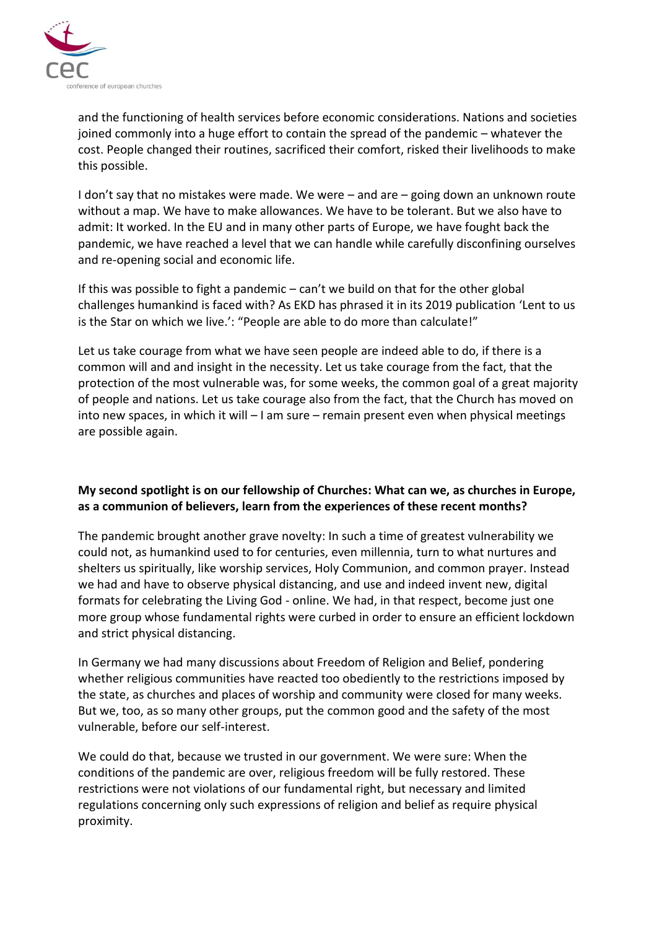

and the functioning of health services before economic considerations. Nations and societies joined commonly into a huge effort to contain the spread of the pandemic – whatever the cost. People changed their routines, sacrificed their comfort, risked their livelihoods to make this possible.

I don't say that no mistakes were made. We were – and are – going down an unknown route without a map. We have to make allowances. We have to be tolerant. But we also have to admit: It worked. In the EU and in many other parts of Europe, we have fought back the pandemic, we have reached a level that we can handle while carefully disconfining ourselves and re-opening social and economic life.

If this was possible to fight a pandemic  $-$  can't we build on that for the other global challenges humankind is faced with? As EKD has phrased it in its 2019 publication 'Lent to us is the Star on which we live.': "People are able to do more than calculate!"

Let us take courage from what we have seen people are indeed able to do, if there is a common will and and insight in the necessity. Let us take courage from the fact, that the protection of the most vulnerable was, for some weeks, the common goal of a great majority of people and nations. Let us take courage also from the fact, that the Church has moved on into new spaces, in which it will – I am sure – remain present even when physical meetings are possible again.

## **My second spotlight is on our fellowship of Churches: What can we, as churches in Europe, as a communion of believers, learn from the experiences of these recent months?**

The pandemic brought another grave novelty: In such a time of greatest vulnerability we could not, as humankind used to for centuries, even millennia, turn to what nurtures and shelters us spiritually, like worship services, Holy Communion, and common prayer. Instead we had and have to observe physical distancing, and use and indeed invent new, digital formats for celebrating the Living God - online. We had, in that respect, become just one more group whose fundamental rights were curbed in order to ensure an efficient lockdown and strict physical distancing.

In Germany we had many discussions about Freedom of Religion and Belief, pondering whether religious communities have reacted too obediently to the restrictions imposed by the state, as churches and places of worship and community were closed for many weeks. But we, too, as so many other groups, put the common good and the safety of the most vulnerable, before our self-interest.

We could do that, because we trusted in our government. We were sure: When the conditions of the pandemic are over, religious freedom will be fully restored. These restrictions were not violations of our fundamental right, but necessary and limited regulations concerning only such expressions of religion and belief as require physical proximity.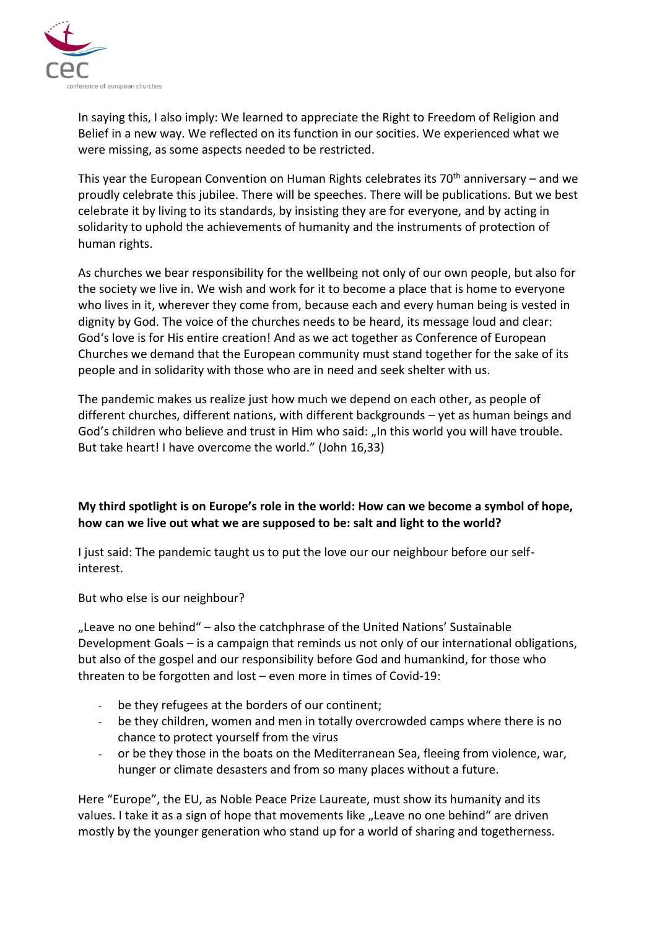

In saying this, I also imply: We learned to appreciate the Right to Freedom of Religion and Belief in a new way. We reflected on its function in our socities. We experienced what we were missing, as some aspects needed to be restricted.

This year the European Convention on Human Rights celebrates its  $70<sup>th</sup>$  anniversary – and we proudly celebrate this jubilee. There will be speeches. There will be publications. But we best celebrate it by living to its standards, by insisting they are for everyone, and by acting in solidarity to uphold the achievements of humanity and the instruments of protection of human rights.

As churches we bear responsibility for the wellbeing not only of our own people, but also for the society we live in. We wish and work for it to become a place that is home to everyone who lives in it, wherever they come from, because each and every human being is vested in dignity by God. The voice of the churches needs to be heard, its message loud and clear: God's love is for His entire creation! And as we act together as Conference of European Churches we demand that the European community must stand together for the sake of its people and in solidarity with those who are in need and seek shelter with us.

The pandemic makes us realize just how much we depend on each other, as people of different churches, different nations, with different backgrounds – yet as human beings and God's children who believe and trust in Him who said: "In this world you will have trouble. But take heart! I have overcome the world." (John 16,33)

## **My third spotlight is on Europe's role in the world: How can we become a symbol of hope, how can we live out what we are supposed to be: salt and light to the world?**

I just said: The pandemic taught us to put the love our our neighbour before our selfinterest.

But who else is our neighbour?

"Leave no one behind" – also the catchphrase of the United Nations' Sustainable Development Goals – is a campaign that reminds us not only of our international obligations, but also of the gospel and our responsibility before God and humankind, for those who threaten to be forgotten and lost – even more in times of Covid-19:

- be they refugees at the borders of our continent;
- be they children, women and men in totally overcrowded camps where there is no chance to protect yourself from the virus
- or be they those in the boats on the Mediterranean Sea, fleeing from violence, war, hunger or climate desasters and from so many places without a future.

Here "Europe", the EU, as Noble Peace Prize Laureate, must show its humanity and its values. I take it as a sign of hope that movements like "Leave no one behind" are driven mostly by the younger generation who stand up for a world of sharing and togetherness.